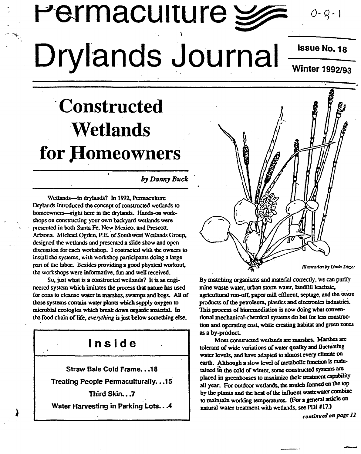# Permaculture  $\geqslant$ Drylands Journal

Issue NO.18

 $0 - Q - I$ 

Winter 1992/93

# .Constructed **Wetlands** for Homeowners

#### *b] DaRn] Buck*

Wetlands-in drylands? In 1992. Pennaculturc Drylands introduced the concept of constructed wetlands to homcowners-right here in the drylands. Hands-on workshops on constructing your own backyard wetlands were presented in both Santa Fe, New Mexico, and Prescott, Arizona. Michael Ogden, P.E. of Southwest Wetlands Group, designed the wetlands and presented a slide show and open discussion for each workshop. I contracted with the owners to install the systems, with workshop participants doing a large part of the labor. Besides providing a good physical workout. the workshops were informative, fun and well received.

So, just what is a constructed wellands? It is an enginccred system which imitates the process that nature has used for cons to cleanse water in marshes, swamps and bogs. All of these systems contain water plants which supply oxygen to microbial ecologies which break down organic material. In the food chain of life, *everything* is just below something else.

### Inside

Straw Bale Cold Frame...18

Treating People Permaculturally. . . 15

Third Skin...7

Water Harvesting in Parking Lots...4



By matching organisms and material correctly, we can purify mine waste water, urban storm water, landfill leachate, agricultural run-off, paper mill effluent. septage, and the Waste products of the petroleum, plastics and electronics industrieS. This process of bioremediation is now doing what conventional mechanical-chemical systems do but for less construction and operating cost, while creating habitat and green zones as a by-product.

Most constructed wetlands are marshes. Marshes are tolerant of wide variations of water quality and fluctuating water levels, and have adapted to almost every climate on earth. Although a slow level of metabolic function is maintained in the cold of winter, some constructed systems are placed in greenhouses to maximize their treatment capability all year. For outdoor wetlands, the mulch formed on the top by the plants and the heal of Ibe influcol wastewater combine to maintain working temperatures. (For a general article on natural water treatment with wetlands, see PDJ #17.)

*continued* on page 12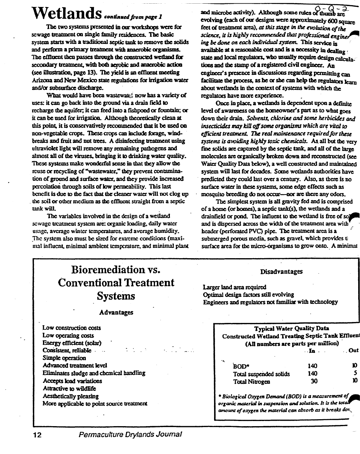# $\textbf{Wetlands}_{\textit{confinated from page 1}}$

The two systems presented in our workshops were for sewage treatment on single family residences. The basic system starts with a traditional septic tank to remove the solids and perform a primary treatment with anaerobic organisms. The effluent then passes through the constructed wetland for secondary treatment, with both aerobic and anaerobic action (see illustration, page 13). The yield is an effluent meeting Arizona and New Mexico state regulations for irrigation water and/or subsurface discharge.

What would have been wastewated now has a variety of uses: it can go back into the ground via a drain field to recharge the aquifer; it can feed into a fishpond or fountain; or it can be used for irrigation. Although theoretically clean at this point, it is conservatively recommended that it be used on non-vegetable crops. These crops can include forage, windbreaks and fruit and nut trees. A disinfecting treatment using ultraviolet light will remove any remaining pathogens and almost all of the viruses, bringing it to drinking water quality. These systems make wonderful sense in that they allow the reuse or recycling of "wastewater," they prevent contamination of ground and surface water, and they provide increased percolation through soils of low permeability. This last benefit is due to the fact that the cleaner water will not clog up the soil or other medium as the effluent straight from a septic tank will.

The variables involved in the design of a wetland sewage treatment system are: organic loading, daily water usage, average winter temperatures, and average humidity. The system also must be sized for extreme conditions (maximal influent, minimal ambient temperature, and minimal plant and microbe activity). Although some rules of thumb are evolving (each of our designs were approximately 600 square feet of treatment area), at this stage in the evolution of the science, it is highly recommended that professional engines ing be done on each individual system. This service is available at a reasonable cost and is a necessity in dealing state and local regulators, who usually require design calculations and the stamp of a registered civil engineer. An engineer's presence in discussions regarding permitting can facilitate the process, as he or she can help the regulators learn about wetlands in the context of systems with which the regulators have more experience.

Once in place, a wetlands is dependent upon a definite level of awareness on the homeowner's part as to what goes down their drain. Solvents, chlorine and some herbicides and insecticides may kill off some organisms which are vital to efficient treatment. The real maintenance required for these systems is avoiding highly toxic chemicals. As all but the very fine solids are captured by the septic tank, and all of the large molecules are organically broken down and reconstructed (see Water Ouality Data below), a well constructed and maintained system will last for decades. Some wetlands authorities have predicted they could last over a century. Also, as there is no surface water in these systems, some edge effects such as mosquito breeding do not occur--- nor are there any odors.

The simplest system is all gravity fed and is comprised of a home (or homes), a septic tank(s), the wetlands and a drainfield or pond. The influent to the wetland is free of sol and is dispersed across the width of the treatment area with header (perforated PVC) pipe. The treatment area is a submerged porous media, such as gravel, which provides ti surface area for the micro-organisms to grow onto. A minimal

## **Bioremediation vs. Conventional Treatment Systems**

#### **Advantages**

Low construction costs Low operating costs Energy efficient (solar) Consistent, reliable Simple operation Advanced treatment level Eliminates sludge and chemical handling Accepts load variations Attractive to wildlife Aesthetically pleasing More applicable to point source treatment

#### Disadvantages

Larger land area required Optimal design factors still evolving Engineers and regulators not familiar with technology

| <b>Typical Water Quality Data</b><br>Constructed Wetland Treating Septic Tank Effluen<br>(All numbers are parts per million) |                                       |       |
|------------------------------------------------------------------------------------------------------------------------------|---------------------------------------|-------|
|                                                                                                                              | $\mathbf{F}$ . The state $\mathbf{F}$ | . Out |
| ч.<br><b>BOD*</b>                                                                                                            | 140                                   | Ю     |
| Total suspended solids                                                                                                       | 140                                   |       |
| <b>Total Nitrogen</b>                                                                                                        | 30                                    | Ю     |

\* Biological Oxygen Demand (BOD) is a measurement of organic material in suspension and solution. It is the total amount of oxygen the material can absorb as it breaks dox.

#### Permaculture Drylands Journal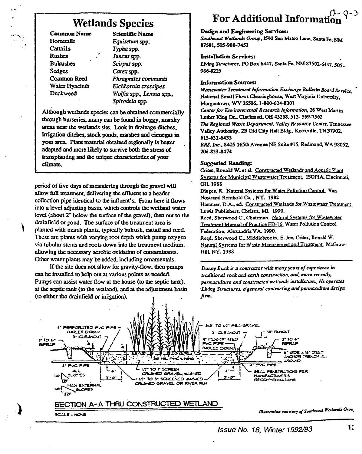### **Wetlands Species**

**Common Name** Horsetails **Cattails Rushes Bulrushes Sedges** Common Reed Water Hyacinth Duckweed

**Scientific Name** Equisetum spp. Typha spp. Juncus spp. Scirpus spp. Carex spp. Phragmites communis Eichhornia crassipes Wolfia spp., Lemna spp., Spirodela spp.

Although wetlands species can be obtained commercially through nurseries, many can be found in boggy, marshy areas near the wetlands site. Look in drainage ditches, irrigation ditches, stock ponds, marshes and cienegas in your area. Plant material obtained regionally is better adapted and more likely to survive both the stress of transplanting and the unique characteristics of your climate.

period of five days of meandering through the gravel will allow full treatment, delivering the effluent to a header collection pipe identical to the influent's. From here it flows into a level adjusting basin, which controls the wetland water level (about 2" below the surface of the gravel), then out to the drainfield or pond. The surface of the treatment area is planted with marsh plants, typically bulrush, cattail and reed. These are plants with varying root depth which pump oxygen via tubular stems and roots down into the treatment medium, allowing the necessary acrobic oxidation of contaminants. Other water plants may be added, including ornamentals.

If the site does not allow for gravity-flow, then pumps can be installed to help out at various points as needed. Pumps can assist water flow at the house (to the septic tank), at the septic tank (to the wetland), and at the adjustment basin (to either the drainfield or irrigation).

# **For Additional Informat**

#### Design and Engineering Services:

Southwest Wetlands Group, 1590 San Mateo Lane, Santa Fe, NM 87501.505-988-7453

#### **Installation Services:**

Living Structures, PO Box 6447, Santa Fe, NM 87502-6447, 505. 986-8225

#### **Information Sources:**

Wastewater Treatment Information Exchange Bulletin Board Service. National Small Flows Clearinghouse, West Virginia University Morgantown, WV 26506, 1-800-624-8301 Center for Environmental Research Information, 26 West Martin Luther King Dr., Cincinnati, OH 45268, 513-569-7562 The Regional Waste Department, Valley Resource Center, Tennessee Valley Authority, 2B Old City Hall Bldg., Knoxville, TN 37902, 615-632-6433 BRS, Inc., 8405 165th Avenue NE Suite #15, Redmond, WA 98052 206-833-8474

#### **Suggested Reading:**

Crites, Ronald W. et al. Constructed Wetlands and Aquatic Plant Systems for Municipal Wastewater Treatment, ISOPIA, Cincinnati, OH. 1988

Dinges, R. Natural Systems for Water Pollution Control. Van Nostrand Reinhold Co., NY. 1982

Hammer, D.A., ed. Constructed Wetlands for Wastewater Treatment. Lewis Publishers, Chelsea, MI, 1990.

Reed, Sherwood C., Chairman. Natural Systems for Wastewater Treatment Manual of Practice FD-16. Water Pollution Control Federation, Alexandria VA. 1990.

Reed, Sherwood C., Middlebrooks, E. Joe, Crites, Ronald W. Natural Systems for Waste Management and Treatment, McGraw-**Hill NY. 1988** 

Danny Buck is a contractor with many years of experience in traditional rock and earth construction, and, more recently, permaculture and constructed wetlands installation. He operates Living Structures, a general contracting and permaculture design firm.



Issue No. 18, Winter 1992/93